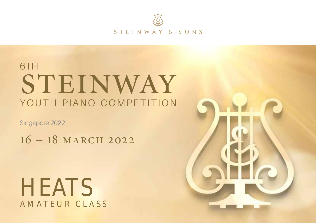

STEINWAY & SONS

# 6TH STEINWAY YOUTH PIANO COMPETITION

Singapore 2022

16 – 18 march 2022

# **HEATS** AMATEUR CLASS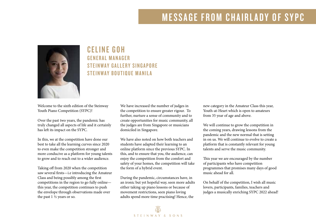## MESSAGE FROM CHAIRLADY OF SYPC



### Celine Goh General Manage r STEINWAY GALLERY SINGAPORE STEINWAY ROUTIOUE MANILA

Welcome to the sixth edition of the Steinway Youth Piano Competition (SYPC)!

Over the past two years, the pandemic has truly changed all aspects of life and it certainly has left its impact on the SYPC.

In this, we at the competition have done our best to take all the learning curves since 2020 to even make the competition stronger and more conducive as a platform for young talents to grow and to reach out to a wider audience.

Taking off from 2020 when the competition saw several firsts—i.e introducing the Amateur Class and being possibly among the first competitions in the region to go fully online this year, the competition continues to push the envelope through observations made over the past 1 ½ years or so.

We have increased the number of judges in the competition to ensure greater rigour. To further, nurture a sense of community and to create opportunities for music community, all the judges are from Singapore or musicians domiciled in Singapore.

We have also noted on how both teachers and students have adapted their learning to an online platform since the previous SYPC. In this, and to ensure that you, the audience, can enjoy the competition from the comfort and safety of your homes, the competition will take the form of a hybrid event.

During the pandemic, circumstances have, in an ironic but yet hopeful way, seen more adults either taking up piano lessons or because of movement restrictions, seen piano loving adults spend more time practising! Hence, the

new category in the Amateur Class this year, Youth-at-Heart which is open to amateurs from 35 year of age and above.

We will continue to grow the competition in the coming years, drawing lessons from the pandemic and the new normal that is setting in on us. We will continue to evolve to create a platform that is constantly relevant for young talents and serve the music community.

This year we are encouraged by the number of participants who have competition programmes that promises many days of good music ahead for all.

On behalf of the competition, I wish all music lovers, participants, families, teachers and judges a musically enriching SYPC 2022 ahead!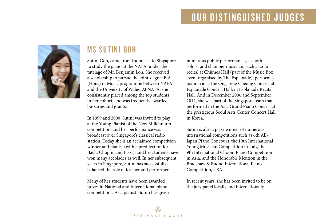# OUR DISTINGUISHED JUDGES



### **MS SIITINI GOH**

Sutini Goh, came from Indonesia to Singapore to study the piano at the NAFA, under the tutelage of Mr. Benjamin Loh. She received a scholarship to pursue the joint-degree B.A. (Hons) in Music programme between NAFA and the University of Wales. At NAFA, she consistently placed among the top students in her cohort, and was frequently awarded bursaries and grants.

In 1999 and 2000, Sutini was invited to play at the Young Pianist of the New Millennium competition, and her performance was broadcast over Singapore's classical radio station. Today she is an acclaimed competition winner and pianist (with a predilection for Bach, Chopin, and Liszt), and her students have won many accolades as well. In her subsequent years in Singapore, Sutini has successfully balanced the role of teacher and performer.

Many of her students have been awarded prizes in National and International piano competitions. As a pianist, Sutini has given numerous public performances, as both soloist and chamber musician, such as solo recital at Chijmes Hall (part of the Music Box event organised by The Esplanade), perform a piano trio at the Ong Teng Cheong Concert at Esplanade Concert Hall, in Esplanade Recital Hall. And in December 2006 and September 2012, she was part of the Singapore team that performed in the Asia Grand Piano Concert at the prestigious Seoul Arts Center Concert Hall in Korea.

Sutini is also a prize winner of numerous international competitions such as 6th All-Japan Piano Concours, the 19th International Young Musician Competition in Italy, the 9th International Chopin Piano Competition in Asia, and the Honorable Mention in the Bradshaw & Buono International Piano Competition, USA.

In recent years, she has been invited to be on the jury panel locally and internationally.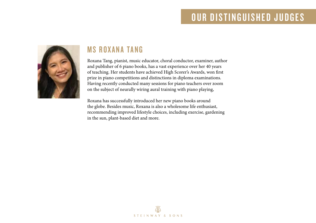## OUR DISTINGUISHED JUDGES



### **MS ROXANA TANG**

Roxana Tang, pianist, music educator, choral conductor, examiner, author and publisher of 6 piano books, has a vast experience over her 40 years of teaching. Her students have achieved High Scorer's Awards, won first prize in piano competitions and distinctions in diploma examinations. Having recently conducted many sessions for piano teachers over zoom on the subject of neurally wiring aural training with piano playing,

Roxana has successfully introduced her new piano books around the globe. Besides music, Roxana is also a wholesome life enthusiast, recommending improved lifestyle choices, including exercise, gardening in the sun, plant-based diet and more.

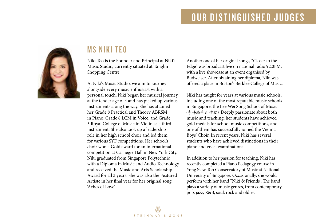# OUR DISTINGUISHED JUDGES



### **MS NIKI TEN**

Niki Teo is the Founder and Principal at Niki's Music Studio, currently situated at Tanglin Shopping Centre.

At Niki's Music Studio, we aim to journey alongside every music enthusiast with a personal touch. Niki began her musical journey at the tender age of 4 and has picked up various instruments along the way. She has attained her Grade 8 Practical and Theory ABRSM in Piano, Grade 8 LCM in Voice, and Grade 3 Royal College of Music in Violin as a third instrument. She also took up a leadership role in her high school choir and led them for various SYF competitions. Her school's choir won a Gold award for an international competition at Carnegie Hall in New York City. Niki graduated from Singapore Polytechnic with a Diploma in Music and Audio Technology and received the Music and Arts Scholarship Award for all 3 years. She was also the Featured Artiste in her final year for her original song 'Aches of Love'.

Another one of her original songs, "Closer to the Edge" was broadcast live on national radio 92.0FM, with a live showcase at an event organised by Budweiser. After obtaining her diploma, Niki was offered a place in Boston's Berklee College of Music.

Niki has taught for years at various music schools, including one of the most reputable music schools in Singapore, the Lee Wei Song School of Music (李伟菘音乐学校). Deeply passionate about both music and teaching, her students have achieved gold medals for school music competitions, and one of them has successfully joined the Vienna Boys' Choir. In recent years, Niki has several students who have achieved distinctions in their piano and vocal examinations.

In addition to her passion for teaching, Niki has recently completed a Piano Pedagogy course in Yong Siew Toh Conservatory of Music at National University of Singapore. Occasionally, she would perform with her band "Niki & Friends". The band plays a variety of music genres, from contemporary pop, jazz, R&B, soul, rock and oldies.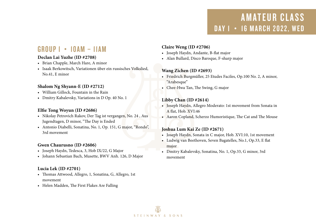### Group 1 • 10am – 11am

#### **Declan Lai Yuzhe (ID #2708)**

- • Brian Chapple, March Hare, A minor
- • Isaak Berkowitsch, Variationen über ein russisches Volkslied, No.41, E minor

#### **Shalom Ng Shyann-E (ID #2712)**

- • William Gillock, Fountain in the Rain
- • Dmitry Kabalevsky, Variations in D Op. 40 No. 1

#### **Elfie Tong Woyun (ID #2686)**

- • Nikolay Petrovich Rakov, Der Tag ist vergangen, No. 24 , Aus Jugendtagen, D minor, "The Day is Ended
- • Antonio Diabelli, Sonatina, No. 1, Op. 151, G major, "Rondo", 3rd movement

#### **Gwen Chaurusno (ID #2606)**

- • Joseph Haydn, Tedesca, 3, Hob IX/22, G Major
- • Johann Sebastian Bach, Musette, BWV Anh. 126, D Major

#### **Lucia Lek (ID #2701)**

- • Thomas Attwood, Allegro, 1, Sonatina, G, Allegro, 1st movement
- • Helen Madden, The First Flakes Are Falling

#### **Claire Weng (ID #2706)**

- • Joseph Haydn, Andante, B-flat major
- • Alan Bullard, Disco Baroque, F-sharp major

#### **Wang Zichen (ID #2693)**

- • Friedrich Burgmüller, 25 Etudes Faciles, Op.100 No. 2, A minor, "Arabesque"
- • Chee-Hwa Tan, The Swing, G major

#### **Libby Chan (ID #2614)**

- Joseph Haydn, Allegro Moderato: 1st movement from Sonata in A flat, Hob. XVI:46
- • Aaron Copland, Scherzo Humoristique, The Cat and The Mouse

#### **Joshua Lum Kai Ze (ID #2671)**

- Joseph Haydn, Sonata in C major, Hob. XVI:10, 1st movement
- • Ludwig van Beethoven, Seven Bagatelles, No.1, Op.33, E flat major
- • Dmitry Kabalevsky, Sonatina, No. 1, Op.33, G minor, 3rd movement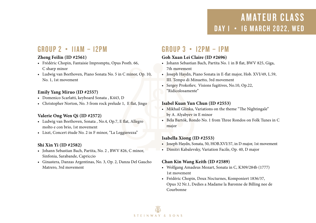### Group 2 • 11am – 12pm

#### **Zheng Feilin (ID #2561)**

- • Frédéric Chopin, Fantaisie Impromptu, Opus Posth. 66, C sharp minor
- • Ludwig van Beethoven, Piano Sonata No. 5 in C minor, Op. 10, No. 1, 1st movement

#### **Emily Yang Miruo (ID #2557)**

- • Domenico Scarlatti, keyboard Sonata , K443, D
- Christopher Norton, No. 3 from rock prelude 1, E flat, Jingo

#### **Valerie Ong Wen Qi (ID #2572)**

- • Ludwig van Beethoven, Sonata , No.4, Op.7, E flat, Allegro molto e con brio, 1st movement
- • Liszt, Concert étude No. 2 in F minor, "La Leggierezza"

#### **Shi Xin Yi (ID #2582)**

- • Johann Sebastian Bach, Partita, No. 2 , BWV 826, C minor, Sinfonia, Sarabande, Capriccio
- • Ginastera, Danzas Argentinas, No. 3, Op. 2, Danza Del Gaucho Matrero, 3rd movement

### Group 3 • 12pm – 1pm

#### **Goh Xuan Lei Claire (ID #2696)**

- • Johann Sebastian Bach, Partita No. 1 in B flat, BWV 825, Giga, 7th movement
- • Joseph Haydn, Piano Sonata in E-flat major, Hob. XVI/49, L.59, III. Tempo di Minuetto, 3rd movement
- • Sergey Prokofiev, Visions fugitives, No.10, Op.22, "Ridicolosamente"

#### **Isabel Kuan Yun Chun (ID #2553)**

- Mikhail Glinka, Variations on the theme "The Nightingale" by A. Alyabyev in E minor
- • Béla Bartók, Rondo No. 1 from Three Rondos on Folk Tunes in C major

#### **Isabella Xiong (ID #2553)**

- • Joseph Haydn, Sonata, 50, HOB.XVI/37, in D major, 1st movement
- • Dimitri Kabalevsky, Variation Facile, Op. 40, D major

#### **Chan Kin Wang Keith (ID #2589)**

- • Wolfgang Amadeus Mozart, Sonata in C, K309/284b (1777) 1st movement
- • Frédéric Chopin, Deux Nocturnes, Komponiert 1836/37, Opus 32 Nr.1, Dedies a Madame la Baronne de Billing nee de Courbonne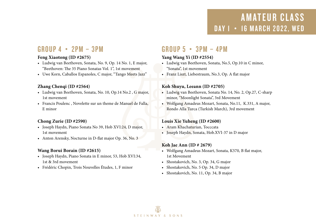### GROUP  $4 \cdot 2PM - 3PM$

#### **Feng Xiaotong (ID #2675)**

- • Ludwig van Beethoven, Sonata, No. 9, Op. 14 No. 1, E major, "Beethoven: The 35 Piano Sonatas Vol. 1", 1st movement
- • Uwe Korn, Caballos Espanoles, C major, "Tango Meets Jazz"

#### **Zhang Chenqi (ID #2564)**

- • Ludwig van Beethoven, Sonata, No. 10, Op.14 No.2 , G major, 1st movement
- • Francis Poulenc , Novelette sur un theme de Manuel de Falla, E minor

#### **Chong Zurie (ID #2590)**

- • Joseph Haydn, Piano Sonata No 39, Hob XVI:24, D major, 1st movement
- Anton Arensky, Nocturne in D-flat major Op. 36, No. 3

#### **Wang Borui Borain (ID #2615)**

- • Joseph Haydn, Piano Sonata in E minor, 53, Hob XVI:34, 1st & 3rd movement
- • Frédéric Chopin, Trois Nouvelles Études, 1, F minor

### GROUP  $5 \cdot 3PM - 4PM$

#### **Yang Wang Yi (ID #2554)**

- • Ludwig van Beethoven, Sonata, No.5, Op.10 in C minor, "Sonata", 1st movement
- • Franz Liszt, Liebestraum, No.3, Op. A flat major

#### **Koh Shuyu, Leeann (ID #2705)**

- • Ludwig van Beethoven, Sonata No. 14, No. 2, Op.27, C-sharp minor, "Moonlight Sonata", 3rd Movement
- • Wolfgang Amadeus Mozart, Sonata, No.11, K.331, A major, Rondo Alla Turca (Turkish March), 3rd movement

#### **Louis Xie Yuheng (ID #2600)**

- • Aram Khachaturian, Tocccata
- • Joseph Haydn, Sonata, Hob.XVI-37 in D major

#### **Koh Jae Ann (ID # 2679)**

- • Wolfgang Amadeus Mozart, Sonata, K570, B flat major, 1st Movement
- Shostakovich, No. 3, Op. 34, G major
- • Shostakovich, No. 5 Op. 34, D major
- • Shostakovich, No. 11, Op. 34, B major

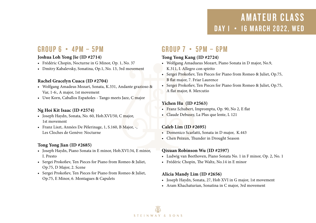### Group 6 • 4pm – 5pm

#### **Joshua Loh Yong Jie (ID #2714)**

- • Frédéric Chopin, Nocturne in G Minor, Op. 1, No. 37
- • Dmitry Kabalevsky, Sonatina, Op.1, No. 13, 3rd movement

#### **Rachel Gracelyn Cuaca (ID #2704)**

- • Wolfgang Amadeus Mozart, Sonata, K.331, Andante grazioso & Var, 1-6:, A major, 1st movement
- • Uwe Korn, Caballos Españoles Tango meets Jazz, C major

#### **Ng Hoi Kit Isaac (ID #2574)**

- • Joseph Haydn, Sonata, No. 60, Hob.XVI/50, C major, 1st movement
- • Franz Liszt, Années De Pèlerinage, 1, S.160, B Major, -, Les Cloches de Genève: Nocturne

#### **Tong Yong Jian (ID #2685)**

- • Joseph Haydn, Piano Sonata in E minor, Hob.XVI:34, E minor, I. Presto
- • Sergei Prokofiev, Ten Pieces for Piano from Romeo & Juliet, Op.75, D Major, 2. Scene
- • Sergei Prokofiev, Ten Pieces for Piano from Romeo & Juliet, Op.75, E Minor, 6. Montagues & Capulets

### $GROUP 7 \cdot 5PM - GPM$

#### **Tong Yong Kang (ID #2724)**

- • Wolfgang Amadueus Mozart, Piano Sonata in D major, No.9, K.311, I. Allegro con spirito
- • Sergei Prokofiev, Ten Pieces for Piano from Romeo & Juliet, Op.75, B flat major, 7. Friar Laurence
- • Sergei Prokofiev, Ten Pieces for Piano from Romeo & Juliet, Op.75, A flat major, 8. Mercutio

#### **Yichen Hu (ID #2563)**

- • Franz Schubert, Impromptu, Op. 90, No 2, E flat
- • Claude Debussy, La Plus que lente, L 121

#### **Caleb Lim (ID #2695)**

- • Domenico Scarlatti, Sonata in D major, K.443
- • Chen Peixun, Thunder in Drought Season

#### **Qixuan Robinson Wu (ID #2597)**

- • Ludwig van Beethoven, Piano Sonata No. 1 in F minor, Op. 2, No. 1
- • Frédéric Chopin, The Waltz, No.14 in E minor

#### **Alicia Mandy Lim (ID #2656)**

- • Joseph Haydn, Sonata, 27, Hob XVI in G major, 1st movement
- • Aram Khachaturian, Sonatina in C major, 3rd movement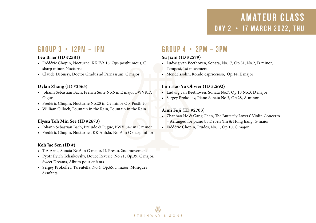### Group 3 • 12pm – 1pm

#### **Leo Brier (ID #2581)**

- • Frédéric Chopin, Nocturne, KK IVa 16, Ops posthumous, C sharp minor, Nocturne
- • Claude Debussy, Doctor Gradus ad Parnassum, C major

#### **Dylan Zhang (ID #2565)**

- Johann Sebastian Bach, French Suite No.6 in E major BWV817: Gigue
- • Frédéric Chopin, Nocturne No.20 in C# minor Op. Posth 20
- William Gillock, Fountain in the Rain, Fountain in the Rain

#### **Elyssa Toh Min See (ID #2673)**

- • Johann Sebastian Bach, Prelude & Fugue, BWV 847 in C minor
- • Frédéric Chopin, Nocturne , KK.Anh.la, No. 6 in C sharp minor

#### **Koh Jae Sen (ID #)**

- • T.A Arne, Sonata No.6 in G major, II. Presto, 2nd movement
- • Pyotr Ilyich Tchaikovsky, Douce Reverie, No.21, Op.39, C major, Sweet Dreams, Album pour enfants
- • Sergey Prokofiev, Tarentella, No.4, Op.65, F major, Musiques d'enfants

### Group 4 • 2pm – 3pm

#### **Su Jixin (ID #2579)**

- • Ludwig van Beethoven, Sonata, No.17, Op.31, No.2, D minor, Tempest, 1st movement
- • Mendelssohn, Rondo capriccioso, Op.14, E major

#### **Lim Hao Yu Olivier (ID #2692)**

- • Ludwig van Beethoven, Sonata No.7, Op.10 No.3, D major
- • Sergey Prokofiev, Piano Sonata No.3, Op.28, A minor

#### **Aimi Fuji (ID #2703)**

- • Zhanhao He & Gang Chen, The Butterfly Lovers' Violin Concerto – Arranged for piano by Deben Yin & Hong Jiang, G major
- • Frédéric Chopin, Études, No. 1, Op.10, C major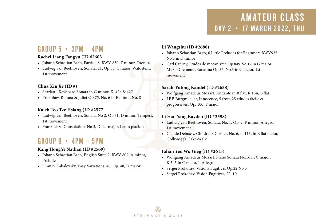### Group 5 • 3pm – 4pm

#### **Rachel Liang Fangyu (ID #2603**

- • Johann Sebastian Bach, Partita, 6, BWV 830, E minor, Toccata
- • Ludwig van Beethoven, Sonata, 21, Op 53, C major, Waldstein, 1st movement

#### **Chua Xin Jie (ID #)**

- • Scarlatti, Keyboard Sonata in G minor, K. 426 & 427
- • Prokofiev, Romeo & Juliet Op.75, No. 6 in E minor, No. 8

#### **Kaleb Teo Tze Hsiang (ID #2577**

- • Ludwig van Beethoven, Sonata, No 2, Op.31, D minor, Tempest, 1st movement
- Franz Liszt, Consolation No 3, D flat major, Lento placido

### Group 6 • 4pm – 5pm

#### **Kang HongYe Nathan (ID #2569)**

- • Johann Sebastian Bach, English Suite 2, BWV 807, A minor, Prelude
- • Dmitry Kabalevsky, Easy Variations, 40, Op. 40, D major

#### **Li Wangshu (ID #2680)**

- • Johann Sebastian Bach, 6 Little Preludes for Beginners BWV935, No.3 in D minor
- • Carl Czerny, Etudes de mecanisme Op.849 No.12 in G major Muzio Clementi, Sonatina Op.36, No.3 in C major, 1st movement

#### **Sarah-Yutong Kandel (ID #2658)**

- • Wolfgang Amadeus Mozart, Andante in B flat, K.15ii, B flat
- • J.F.F. Burgmueller, Innocence, 5 from 25 edudes facile et progressives, Op. 100, F major

#### **Li Hao Yang Kayden (ID #2598)**

- • Ludwig van Beethoven, Sonata, No. 1, Op. 2, F minor, Allegro, 1st movement
- • Claude Debussy, Children's Corner, No. 6, L. 113, in E flat major, Golliwogg's Cake-Walk

#### **Julian Yeo Wu Gieg (ID #2613)**

- • Wolfgang Amadeus Mozart, Piano Sonata No.16 in C major, K.545 in C major, I. Allegro
- Sergei Prokofiev, Visions Fugitives Op.22 No.5
- • Sergei Prokofiev, Vision Fugitives, 22, 10

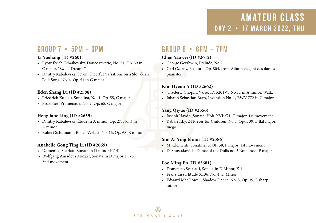### $GROUP 7 \cdot 5PM - GPM$

#### **Li Yuehang (ID #2601)**

- • Pyotr Ilyich Tchaikovsky, Douce reverie, No. 21, Op. 39 in C major, "Sweet Dreams"
- Dmitry Kabalevsky, Seven Cheerful Variations on a Slovakian Folk Song, No. 4, Op. 51 in G major

#### **Eden Shang Lu (ID #2588)**

- • Friedrich Kuhlau, Sonatina, No. 1, Op. 55, C major
- • Prokofiev, Promenade, No. 2, Op. 65, C major

#### **Heng Jane Ling (ID #2659)**

- • Dmitry Kabalevsky, Étude in A minor, Op. 27, No. 3 in A minor
- • Robert Schumann, Erster Verlust, No. 16, Op. 68, E minor

#### **Anabelle Gong Ting Li (ID #2669)**

- • Domenico Scarlatti Sonata in D minor K.141
- • Wolfgang Amadeus Mozart, Sonata in D major K576, 2nd movement

### Group 8 • 6pm – 7pm

#### **Chen Yaowei (ID #2612)**

- • George Gershwin, Prelude, No.2
- • Carl Czerny, Feodora, Op. 804, from Album elegant des dames pianistes

#### **Kim Hyeon A (ID #2662)**

- • "Frédéric Chopin, Valse, 17, KK IVb No.11 in A minor, Waltz
- • Johann Sebastian Bach, Invention No. 1, BWV 772 in C major

#### **Yang Qiyue (ID #2556)**

- • Joseph Haydn, Sonata, Hob. XVI: G1, G major, 1st movement
- • Kabalevsky, 24 Pieces for Children, No.5, Opus 39, B flat major, Juego

#### **Sim Ai Ying Elinor (ID #2586)**

- • M. Clementi, Sonatina, 3, OP. 38, F major, 1st movement
- • D. Shostakovich, Dance of the Dolls no. 3 Romance, F major

#### **Foo Ming En (ID #2681)**

- • Domenico Scarlatti, Sonata in D Minor, K.1
- • Franz Liszt, Etude S.136, No. 4, D Minor
- • Edward MacDowell, Shadow Dance, No. 8, Op. 39, F sharp minor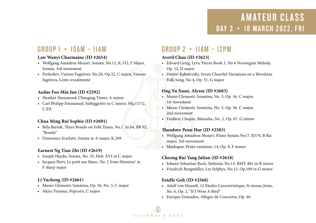### Group 1 • 10am – 11am

#### **Law Wanyi Charmaine (ID #2654)**

- • Wolfgang Amadeus Mozart, Sonata, No.12, K.332, F Major, Sonata, 3rd movement
- Prokofiev, Visions Fugitives, No.20, Op.22, C major, Visions fugitives, Lento irrealmente

#### **Aedus Foo Min Jun (ID #2592)**

- • Heather Hammond, Changing Times, A minor
- Carl Philipp Emmanuel, Solfeggietto in C minor, Wq.117/2, C.P.E

#### **Chua Ming Rui Sophie (ID #2691)**

- • Béla Bartók, Three Rondo on Folk Tunes, No.1 Sz.84, BB 92, "Rondo"
- • Domenico Scarlatti, Sonata in A major, K.209

#### **Earnest Ng Tian Zhi (ID #2619)**

- • Joseph Haydn, Sonata, No. 35, Hob. XVI in C major
- • Jacques Ibert, Le petit ane blanc, No. 2 from Histoires' in F sharp major

#### **Li Yucheng (ID #2661)**

- • Muzio Clementi, Sonatina, Op. 36, No. 3, C major
- • Akira Yuyama, Popcorn, C major

### Group 2 • 11am – 12pm

#### **Averil Chua (ID #2623)**

- • Edvard Grieg, Lyric Pieces Book 1, No 6 Norwegian Melody, Op. 12, D major
- • Dmitri Kabalevsky, Seven Cheerful Variations on a Slovakian Folk Song, No 4, Op. 51, G major

#### **Ong Yu Xuan, Alyssa (ID #2683)**

- • Muzio Clementi, Sonatina, No. 3, Op. 36, C major, 1st movement
- • Muzio Clementi, Sonatina, No. 3, Op. 36, C major, 2nd movement
- • Frédéric Chopin, Mazurka, No. 2, Op. 67, G minor

#### **Theodore Penn Hur (ID #2583)**

- • Wolfgang Amadeus Mozart, Piano Sonata No17, K570, B flat major, 3rd movement
- • Maykapar, Petite variation, 14, Op. 8, F minor

#### **Cheong Rui Yang Julian (ID #2618)**

- • Johann Sebastian Bach, Sinfonia, No.15, BMV 801 in B minor
- • Friedrich Burgmüller, Les Sylphes, No.15, Op.109 in G minor

#### **Estelle Goh (ID #2568)**

- • Adolf von Henselt, 12 Etudes Caracteristique, Si oiseau j'etais, No. 6, Op. 2, "If I Were A Bird"
- • Enrique Granados, Allegro de Concierto, Op. 46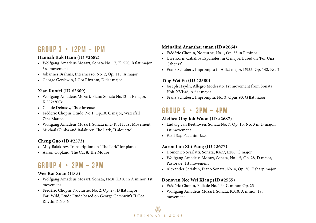### Group 3 • 12pm – 1pm

#### **Hannah Kok Hann (ID #2682)**

- • Wolfgang Amadeus Mozart, Sonata No. 17, K. 570, B flat major, 3rd movement
- • Johannes Brahms, Intermezzo, No. 2, Op. 118, A major
- • George Gershwin, I Got Rhythm, D flat major

#### **Xian Ruofei (ID #2609)**

- • Wolfgang Amadeus Mozart, Piano Sonata No.12 in F major, K.332/300k
- • Claude Debussy, L'isle Joyeuse
- • Frédéric Chopin, Etude, No.1, Op.10, C major, Waterfall Zins Matteo
- • Wolfgang Amadeus Mozart, Sonata in D K.311, 1st Movement
- • Mikhail Glinka and Balakirev, The Lark, "L'alouette"

#### **Cheng Guo (ID #2573)**

- • Mily Balakirev, Transcription on "The Lark" for piano
- • Aaron Copland, The Cat & The Mouse

### GROUP  $4 \cdot 2PM - 3PM$

#### **Wee Kai Xuan (ID #)**

- • Wolfgang Amadeus Mozart, Sonata, No.8, K310 in A minor, 1st movement
- • Frédéric Chopin, Nocturne, No. 2, Op. 27, D flat major Earl Wild, Etude Etude based on George Gershwin's "I Got Rhythm", No. 6

#### **Mrinalini Anantharaman (ID #2664)**

- • Frédéric Chopin, Nocturne, No.1, Op. 55 in F minor
- • Uwe Korn, Caballos Espanoles, in C major, Based on 'Por Una Cabenza'
- • Franz Schubert, Impromptu in A flat major, D935, Op. 142, No. 2

#### **Ting Wei En (ID #2580)**

- • Joseph Haydn, Allegro Moderato, 1st movement from Sonata., Hob. XVI:46, A flat major
- • Franz Schubert, Impromptu, No. 3, Opus 90, G flat major

### GROUP  $5 \cdot 3PM - APM$

#### **Alethea Ong Joh Woon (ID #2687)**

- • Ludwig van Beethoven, Sonata No. 7, Op. 10, No. 3 in D major, 1st movement
- • Fazil Say, Paganini Jazz

#### **Aaron Lim Zhi Pung (ID #2677)**

- • Domenico Scarlatti, Sonata, K427, L286, G major
- • Wolfgang Amadeus Mozart, Sonata, No. 15, Op. 28, D major, Pastorale, 1st movement
- • Alexander Scriabin, Piano Sonata, No. 4, Op. 30, F sharp major

#### **Donovan Nee Wei Xiang (ID #2555)**

- • Frédéric Chopin, Ballade No. 1 in G minor, Op. 23
- • Wolfgang Amadeus Mozart, Sonata, K310, A minor, 1st movement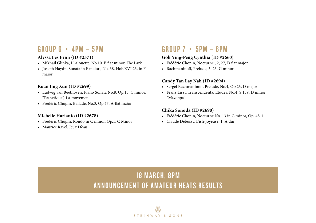### Group 6 • 4pm – 5pm

#### **Alyssa Les Ernn (ID #2571)**

- • Mikhail Glinka, L' Alouette, No.10 B flat minor, The Lark
- • Joseph Haydn, Sonata in F major , No. 38, Hob.XVI:23, in F major

#### **Kuan Jing Xun (ID #2699)**

- • Ludwig van Beethoven, Piano Sonata No.8, Op.13, C minor, "Pathétique", 1st movement
- • Frédéric Chopin, Ballade, No.3, Op.47, A-flat major

#### **Michelle Harianto (ID #2678)**

- • Frédéric Chopin, Rondo in C minor, Op.1, C Minor
- • Maurice Ravel, Jeux D'eau

### Group 7 • 5pm – 6pm

#### **Goh Ying-Peng Cynthia (ID #2660)**

- • Frédéric Chopin, Nocturne , 2, 27, D flat major
- • Rachmaninoff, Prelude, 5, 23, G minor

#### **Candy Tan Lay Nah (ID #2694)**

- • Sergei Rachmaninoff, Prelude, No.4, Op.23, D major
- • Franz Liszt, Transcendental Etudes, No.4, S.139, D minor, "Mazeppa"

#### **Chika Sonoda (ID #2690)**

- • Frédéric Chopin, Nocturne No. 13 in C minor, Op. 48, 1
- • Claude Debussy, L'isle joyeuse, 1, A dur

### **18 MARCH, 8PM** Announcement of Amateur Heats Results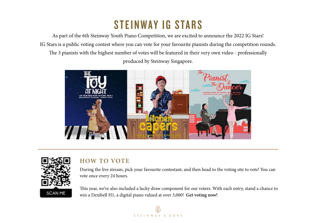# STEINWAY IG STARS

As part of the 6th Steinway Youth Piano Competition, we are excited to announce the 2022 IG Stars! IG Stars is a public voting contest where you can vote for your favourite pianists during the competition rounds. The 3 pianists with the highest number of votes will be featured in their very own video - professionally produced by Steinway Singapore.





### **HOW TO VOTE**

During the live stream, pick your favourite contestant, and then head to the voting site to vote! You can vote once every 24 hours.

This year, we've also included a lucky draw component for our voters. With each entry, stand a chance to win a Dexibell H1, a digital piano valued at over 3,000! **Get voting now!**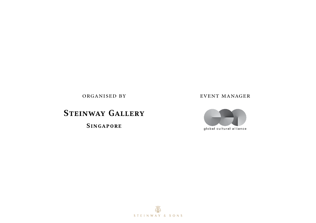### **STEINWAY GALLERY**

**SINGAPORE** 

#### organised by event manager